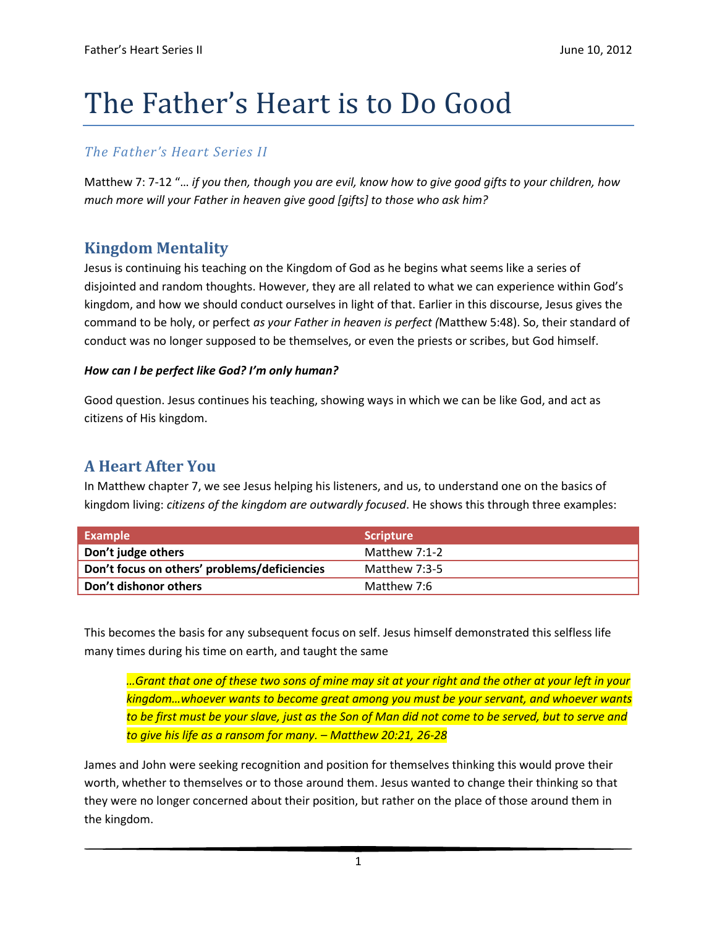# The Father's Heart is to Do Good

### *The Father's Heart Series II*

Matthew 7: 7-12 "… *if you then, though you are evil, know how to give good gifts to your children, how much more will your Father in heaven give good [gifts] to those who ask him?*

## **Kingdom Mentality**

Jesus is continuing his teaching on the Kingdom of God as he begins what seems like a series of disjointed and random thoughts. However, they are all related to what we can experience within God's kingdom, and how we should conduct ourselves in light of that. Earlier in this discourse, Jesus gives the command to be holy, or perfect *as your Father in heaven is perfect (*Matthew 5:48). So, their standard of conduct was no longer supposed to be themselves, or even the priests or scribes, but God himself.

#### *How can I be perfect like God? I'm only human?*

Good question. Jesus continues his teaching, showing ways in which we can be like God, and act as citizens of His kingdom.

#### **A Heart After You**

In Matthew chapter 7, we see Jesus helping his listeners, and us, to understand one on the basics of kingdom living: *citizens of the kingdom are outwardly focused*. He shows this through three examples:

| Example                                      | l Scripture l |
|----------------------------------------------|---------------|
| Don't judge others                           | Matthew 7:1-2 |
| Don't focus on others' problems/deficiencies | Matthew 7:3-5 |
| Don't dishonor others                        | Matthew 7:6   |

This becomes the basis for any subsequent focus on self. Jesus himself demonstrated this selfless life many times during his time on earth, and taught the same

*…Grant that one of these two sons of mine may sit at your right and the other at your left in your kingdom…whoever wants to become great among you must be your servant, and whoever wants to be first must be your slave, just as the Son of Man did not come to be served, but to serve and to give his life as a ransom for many. – Matthew 20:21, 26-28*

James and John were seeking recognition and position for themselves thinking this would prove their worth, whether to themselves or to those around them. Jesus wanted to change their thinking so that they were no longer concerned about their position, but rather on the place of those around them in the kingdom.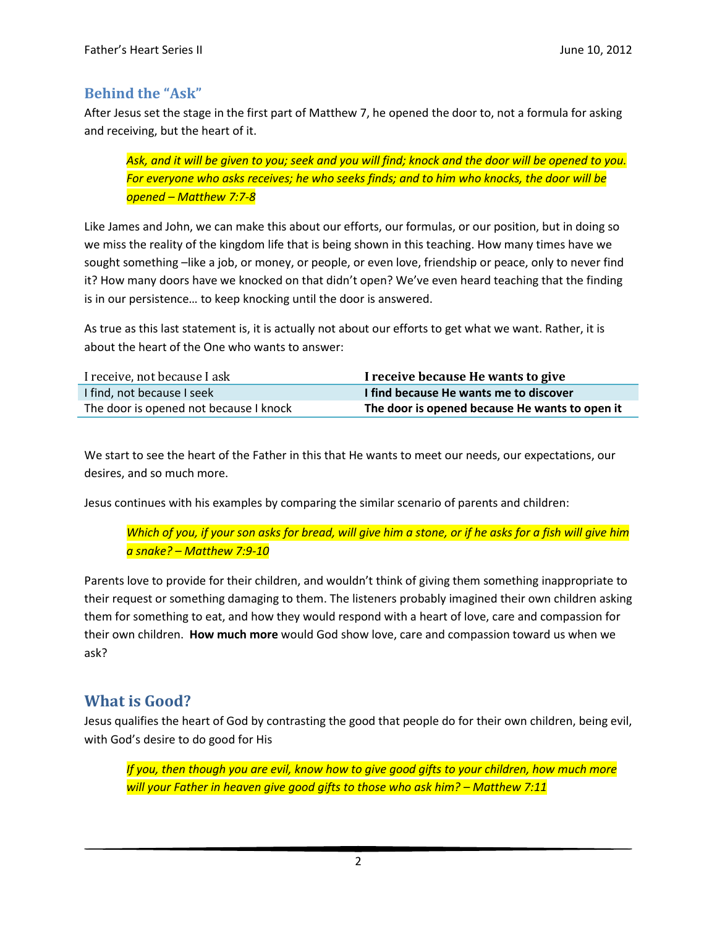#### **Behind the "Ask"**

After Jesus set the stage in the first part of Matthew 7, he opened the door to, not a formula for asking and receiving, but the heart of it.

*Ask, and it will be given to you; seek and you will find; knock and the door will be opened to you. For everyone who asks receives; he who seeks finds; and to him who knocks, the door will be opened – Matthew 7:7-8*

Like James and John, we can make this about our efforts, our formulas, or our position, but in doing so we miss the reality of the kingdom life that is being shown in this teaching. How many times have we sought something –like a job, or money, or people, or even love, friendship or peace, only to never find it? How many doors have we knocked on that didn't open? We've even heard teaching that the finding is in our persistence… to keep knocking until the door is answered.

As true as this last statement is, it is actually not about our efforts to get what we want. Rather, it is about the heart of the One who wants to answer:

| I receive, not because I ask           | I receive because He wants to give             |
|----------------------------------------|------------------------------------------------|
| I find, not because I seek             | I find because He wants me to discover         |
| The door is opened not because I knock | The door is opened because He wants to open it |

We start to see the heart of the Father in this that He wants to meet our needs, our expectations, our desires, and so much more.

Jesus continues with his examples by comparing the similar scenario of parents and children:

*Which of you, if your son asks for bread, will give him a stone, or if he asks for a fish will give him a snake? – Matthew 7:9-10*

Parents love to provide for their children, and wouldn't think of giving them something inappropriate to their request or something damaging to them. The listeners probably imagined their own children asking them for something to eat, and how they would respond with a heart of love, care and compassion for their own children. **How much more** would God show love, care and compassion toward us when we ask?

#### **What is Good?**

Jesus qualifies the heart of God by contrasting the good that people do for their own children, being evil, with God's desire to do good for His

*If you, then though you are evil, know how to give good gifts to your children, how much more will your Father in heaven give good gifts to those who ask him? - Matthew 7:11*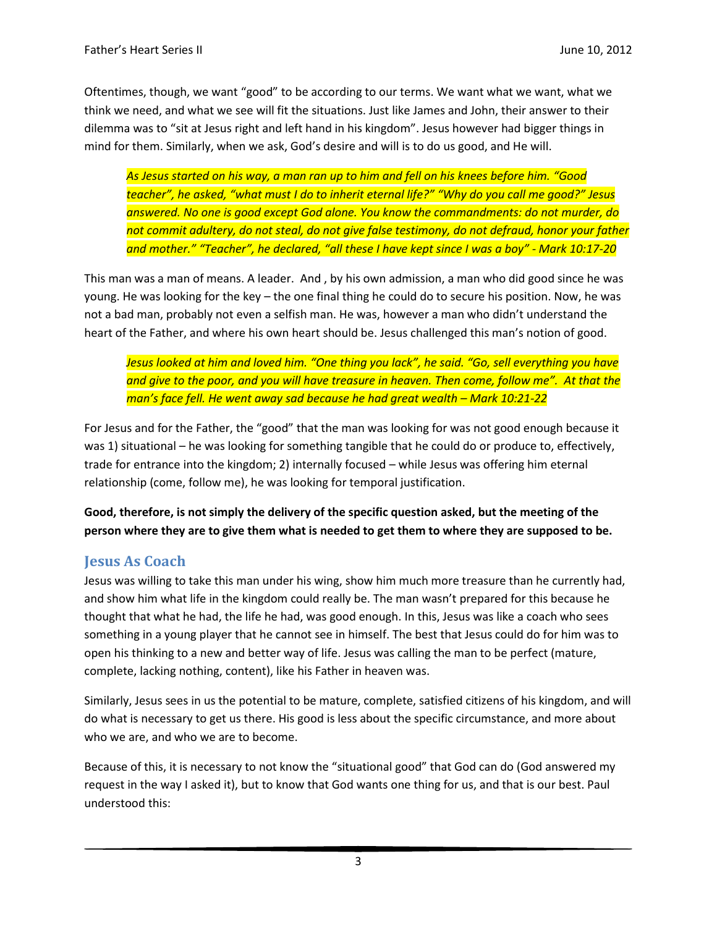Oftentimes, though, we want "good" to be according to our terms. We want what we want, what we think we need, and what we see will fit the situations. Just like James and John, their answer to their dilemma was to "sit at Jesus right and left hand in his kingdom". Jesus however had bigger things in mind for them. Similarly, when we ask, God's desire and will is to do us good, and He will.

*As Jesus started on his way, a man ran up to him and fell on his knees before him. "Good teacher", he asked, "what must I do to inherit eternal life?" "Why do you call me good?" Jesus answered. No one is good except God alone. You know the commandments: do not murder, do not commit adultery, do not steal, do not give false testimony, do not defraud, honor your father and mother." "Teacher", he declared, "all these I have kept since I was a boy" - Mark 10:17-20*

This man was a man of means. A leader. And , by his own admission, a man who did good since he was young. He was looking for the key – the one final thing he could do to secure his position. Now, he was not a bad man, probably not even a selfish man. He was, however a man who didn't understand the heart of the Father, and where his own heart should be. Jesus challenged this man's notion of good.

*Jesus looked at him and loved him. "One thing you lack", he said. "Go, sell everything you have and give to the poor, and you will have treasure in heaven. Then come, follow me". At that the man's face fell. He went away sad because he had great wealth – Mark 10:21-22* 

For Jesus and for the Father, the "good" that the man was looking for was not good enough because it was 1) situational – he was looking for something tangible that he could do or produce to, effectively, trade for entrance into the kingdom; 2) internally focused – while Jesus was offering him eternal relationship (come, follow me), he was looking for temporal justification.

**Good, therefore, is not simply the delivery of the specific question asked, but the meeting of the person where they are to give them what is needed to get them to where they are supposed to be.** 

#### **Jesus As Coach**

Jesus was willing to take this man under his wing, show him much more treasure than he currently had, and show him what life in the kingdom could really be. The man wasn't prepared for this because he thought that what he had, the life he had, was good enough. In this, Jesus was like a coach who sees something in a young player that he cannot see in himself. The best that Jesus could do for him was to open his thinking to a new and better way of life. Jesus was calling the man to be perfect (mature, complete, lacking nothing, content), like his Father in heaven was.

Similarly, Jesus sees in us the potential to be mature, complete, satisfied citizens of his kingdom, and will do what is necessary to get us there. His good is less about the specific circumstance, and more about who we are, and who we are to become.

Because of this, it is necessary to not know the "situational good" that God can do (God answered my request in the way I asked it), but to know that God wants one thing for us, and that is our best. Paul understood this: